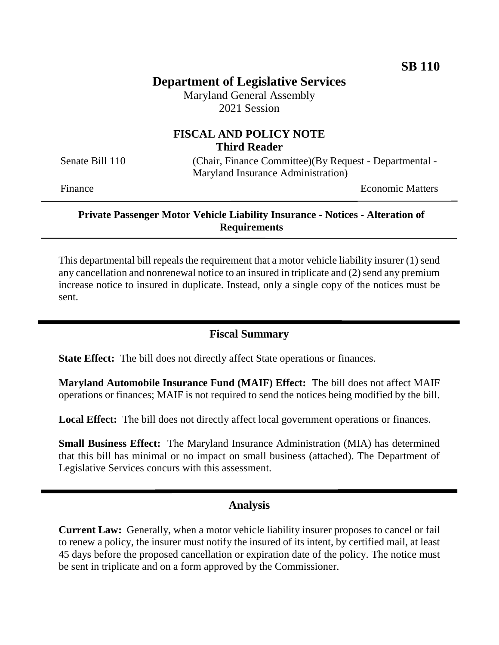# **Department of Legislative Services**

Maryland General Assembly 2021 Session

## **FISCAL AND POLICY NOTE Third Reader**

Senate Bill 110 (Chair, Finance Committee)(By Request - Departmental -Maryland Insurance Administration)

Finance **Exercise Economic Matters** 

### **Private Passenger Motor Vehicle Liability Insurance - Notices - Alteration of Requirements**

This departmental bill repeals the requirement that a motor vehicle liability insurer (1) send any cancellation and nonrenewal notice to an insured in triplicate and (2) send any premium increase notice to insured in duplicate. Instead, only a single copy of the notices must be sent.

## **Fiscal Summary**

**State Effect:** The bill does not directly affect State operations or finances.

**Maryland Automobile Insurance Fund (MAIF) Effect:** The bill does not affect MAIF operations or finances; MAIF is not required to send the notices being modified by the bill.

Local Effect: The bill does not directly affect local government operations or finances.

**Small Business Effect:** The Maryland Insurance Administration (MIA) has determined that this bill has minimal or no impact on small business (attached). The Department of Legislative Services concurs with this assessment.

### **Analysis**

**Current Law:** Generally, when a motor vehicle liability insurer proposes to cancel or fail to renew a policy, the insurer must notify the insured of its intent, by certified mail, at least 45 days before the proposed cancellation or expiration date of the policy. The notice must be sent in triplicate and on a form approved by the Commissioner.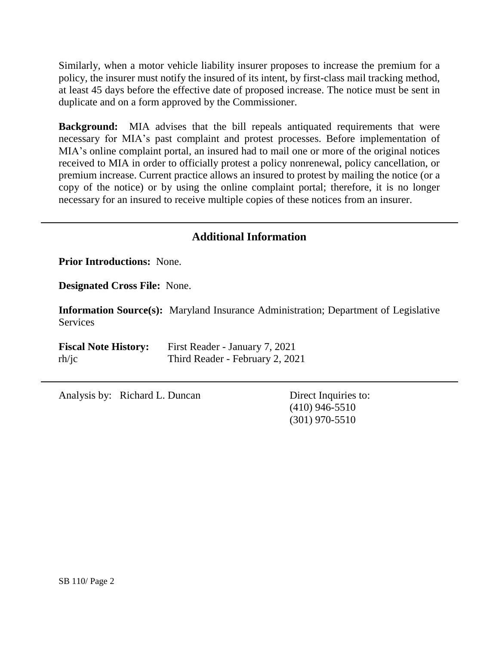Similarly, when a motor vehicle liability insurer proposes to increase the premium for a policy, the insurer must notify the insured of its intent, by first-class mail tracking method, at least 45 days before the effective date of proposed increase. The notice must be sent in duplicate and on a form approved by the Commissioner.

**Background:** MIA advises that the bill repeals antiquated requirements that were necessary for MIA's past complaint and protest processes. Before implementation of MIA's online complaint portal, an insured had to mail one or more of the original notices received to MIA in order to officially protest a policy nonrenewal, policy cancellation, or premium increase. Current practice allows an insured to protest by mailing the notice (or a copy of the notice) or by using the online complaint portal; therefore, it is no longer necessary for an insured to receive multiple copies of these notices from an insurer.

## **Additional Information**

**Prior Introductions:** None.

**Designated Cross File:** None.

**Information Source(s):** Maryland Insurance Administration; Department of Legislative **Services** 

**Fiscal Note History:** First Reader - January 7, 2021 rh/jc Third Reader - February 2, 2021

Analysis by: Richard L. Duncan Direct Inquiries to:

(410) 946-5510 (301) 970-5510